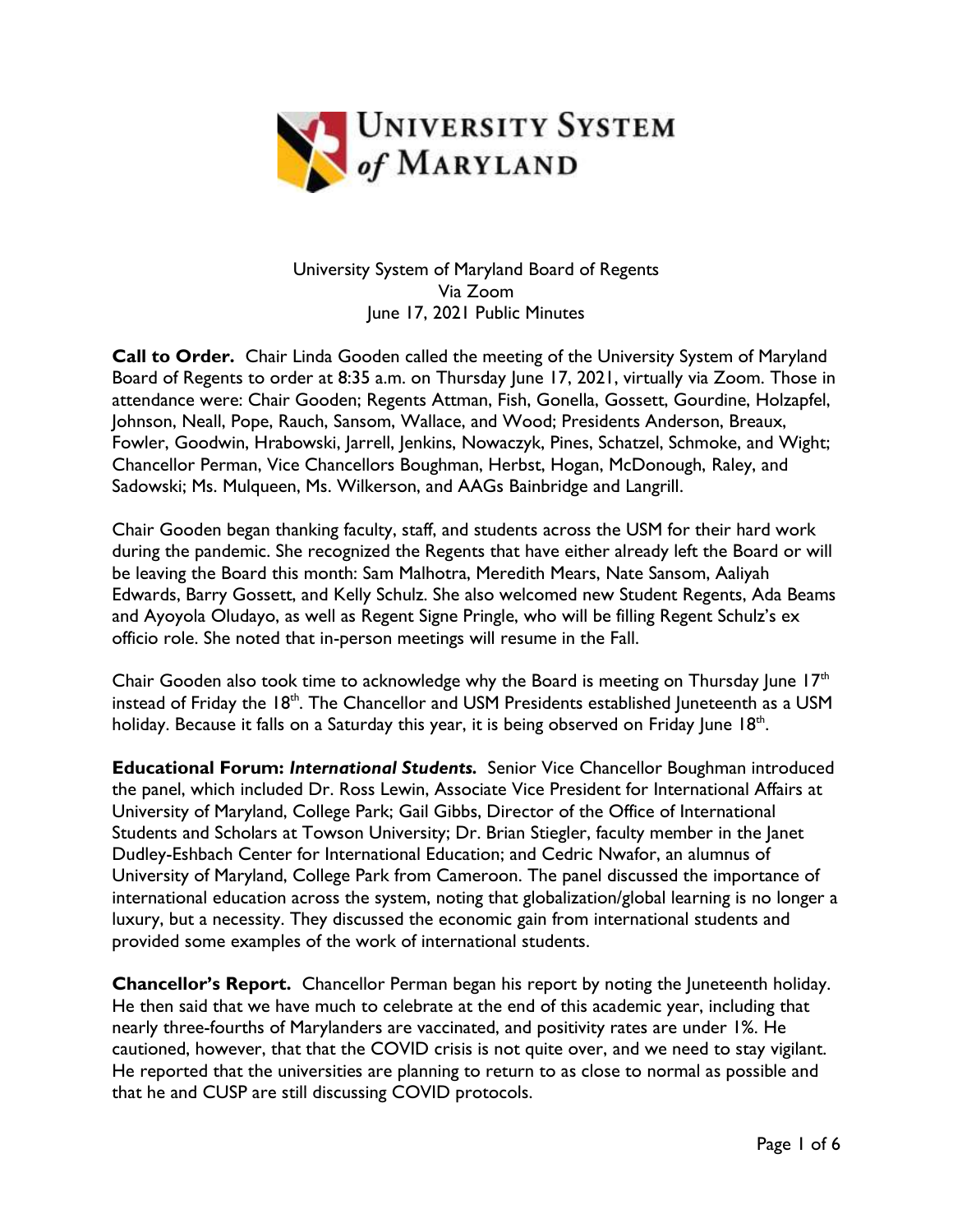

## University System of Maryland Board of Regents Via Zoom June 17, 2021 Public Minutes

**Call to Order.** Chair Linda Gooden called the meeting of the University System of Maryland Board of Regents to order at 8:35 a.m. on Thursday June 17, 2021, virtually via Zoom. Those in attendance were: Chair Gooden; Regents Attman, Fish, Gonella, Gossett, Gourdine, Holzapfel, Johnson, Neall, Pope, Rauch, Sansom, Wallace, and Wood; Presidents Anderson, Breaux, Fowler, Goodwin, Hrabowski, Jarrell, Jenkins, Nowaczyk, Pines, Schatzel, Schmoke, and Wight; Chancellor Perman, Vice Chancellors Boughman, Herbst, Hogan, McDonough, Raley, and Sadowski; Ms. Mulqueen, Ms. Wilkerson, and AAGs Bainbridge and Langrill.

Chair Gooden began thanking faculty, staff, and students across the USM for their hard work during the pandemic. She recognized the Regents that have either already left the Board or will be leaving the Board this month: Sam Malhotra, Meredith Mears, Nate Sansom, Aaliyah Edwards, Barry Gossett, and Kelly Schulz. She also welcomed new Student Regents, Ada Beams and Ayoyola Oludayo, as well as Regent Signe Pringle, who will be filling Regent Schulz's ex officio role. She noted that in-person meetings will resume in the Fall.

Chair Gooden also took time to acknowledge why the Board is meeting on Thursday June  $17<sup>th</sup>$ instead of Friday the 18<sup>th</sup>. The Chancellor and USM Presidents established Juneteenth as a USM holiday. Because it falls on a Saturday this year, it is being observed on Friday June 18<sup>th</sup>.

**Educational Forum:** *International Students.* Senior Vice Chancellor Boughman introduced the panel, which included Dr. Ross Lewin, Associate Vice President for International Affairs at University of Maryland, College Park; Gail Gibbs, Director of the Office of International Students and Scholars at Towson University; Dr. Brian Stiegler, faculty member in the Janet Dudley-Eshbach Center for International Education; and Cedric Nwafor, an alumnus of University of Maryland, College Park from Cameroon. The panel discussed the importance of international education across the system, noting that globalization/global learning is no longer a luxury, but a necessity. They discussed the economic gain from international students and provided some examples of the work of international students.

**Chancellor's Report.** Chancellor Perman began his report by noting the luneteenth holiday. He then said that we have much to celebrate at the end of this academic year, including that nearly three-fourths of Marylanders are vaccinated, and positivity rates are under 1%. He cautioned, however, that that the COVID crisis is not quite over, and we need to stay vigilant. He reported that the universities are planning to return to as close to normal as possible and that he and CUSP are still discussing COVID protocols.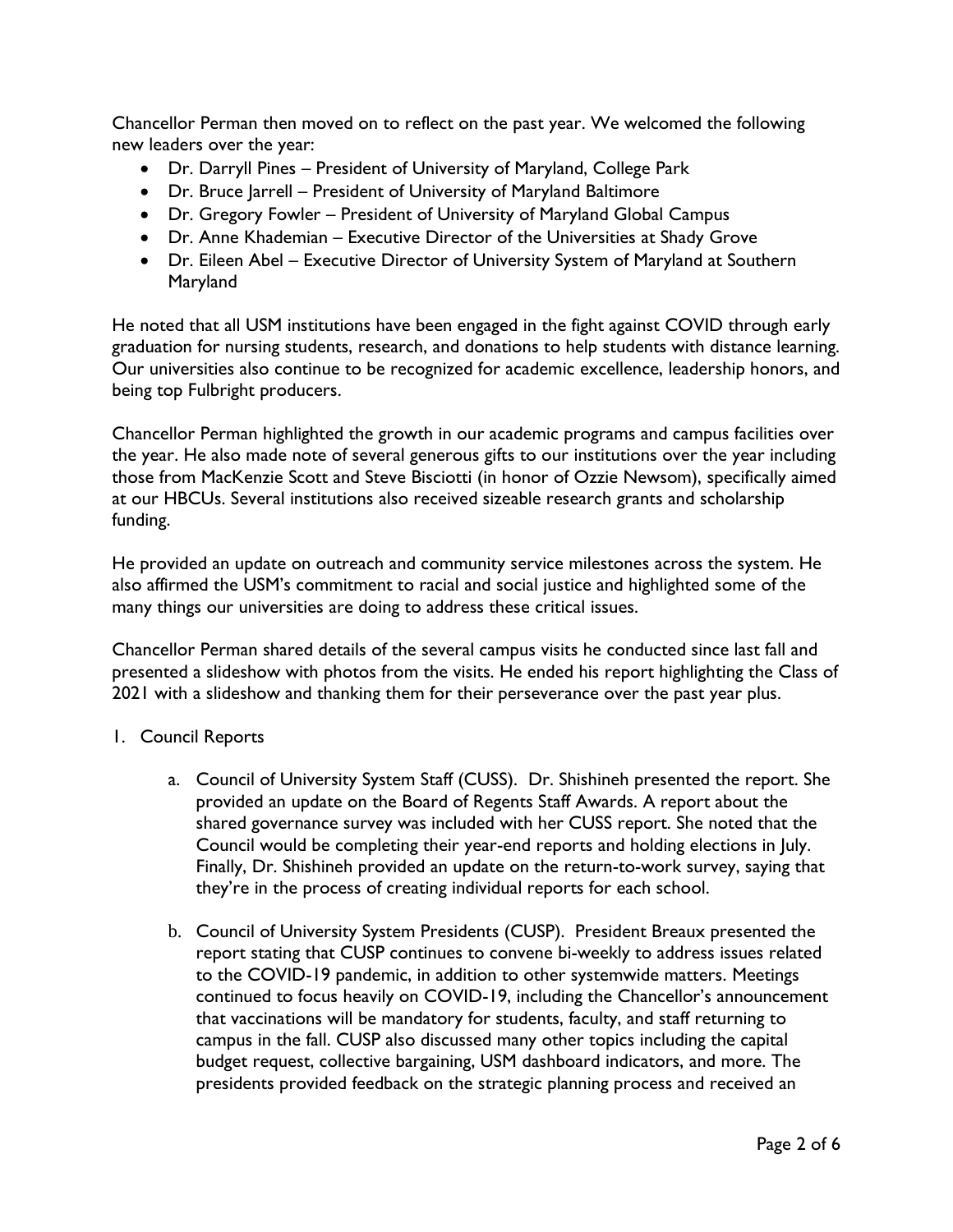Chancellor Perman then moved on to reflect on the past year. We welcomed the following new leaders over the year:

- Dr. Darryll Pines President of University of Maryland, College Park
- Dr. Bruce Jarrell President of University of Maryland Baltimore
- Dr. Gregory Fowler President of University of Maryland Global Campus
- Dr. Anne Khademian Executive Director of the Universities at Shady Grove
- Dr. Eileen Abel Executive Director of University System of Maryland at Southern Maryland

He noted that all USM institutions have been engaged in the fight against COVID through early graduation for nursing students, research, and donations to help students with distance learning. Our universities also continue to be recognized for academic excellence, leadership honors, and being top Fulbright producers.

Chancellor Perman highlighted the growth in our academic programs and campus facilities over the year. He also made note of several generous gifts to our institutions over the year including those from MacKenzie Scott and Steve Bisciotti (in honor of Ozzie Newsom), specifically aimed at our HBCUs. Several institutions also received sizeable research grants and scholarship funding.

He provided an update on outreach and community service milestones across the system. He also affirmed the USM's commitment to racial and social justice and highlighted some of the many things our universities are doing to address these critical issues.

Chancellor Perman shared details of the several campus visits he conducted since last fall and presented a slideshow with photos from the visits. He ended his report highlighting the Class of 2021 with a slideshow and thanking them for their perseverance over the past year plus.

## 1. Council Reports

- a. Council of University System Staff (CUSS). Dr. Shishineh presented the report. She provided an update on the Board of Regents Staff Awards. A report about the shared governance survey was included with her CUSS report. She noted that the Council would be completing their year-end reports and holding elections in July. Finally, Dr. Shishineh provided an update on the return-to-work survey, saying that they're in the process of creating individual reports for each school.
- b. Council of University System Presidents (CUSP). President Breaux presented the report stating that CUSP continues to convene bi-weekly to address issues related to the COVID-19 pandemic, in addition to other systemwide matters. Meetings continued to focus heavily on COVID-19, including the Chancellor's announcement that vaccinations will be mandatory for students, faculty, and staff returning to campus in the fall. CUSP also discussed many other topics including the capital budget request, collective bargaining, USM dashboard indicators, and more. The presidents provided feedback on the strategic planning process and received an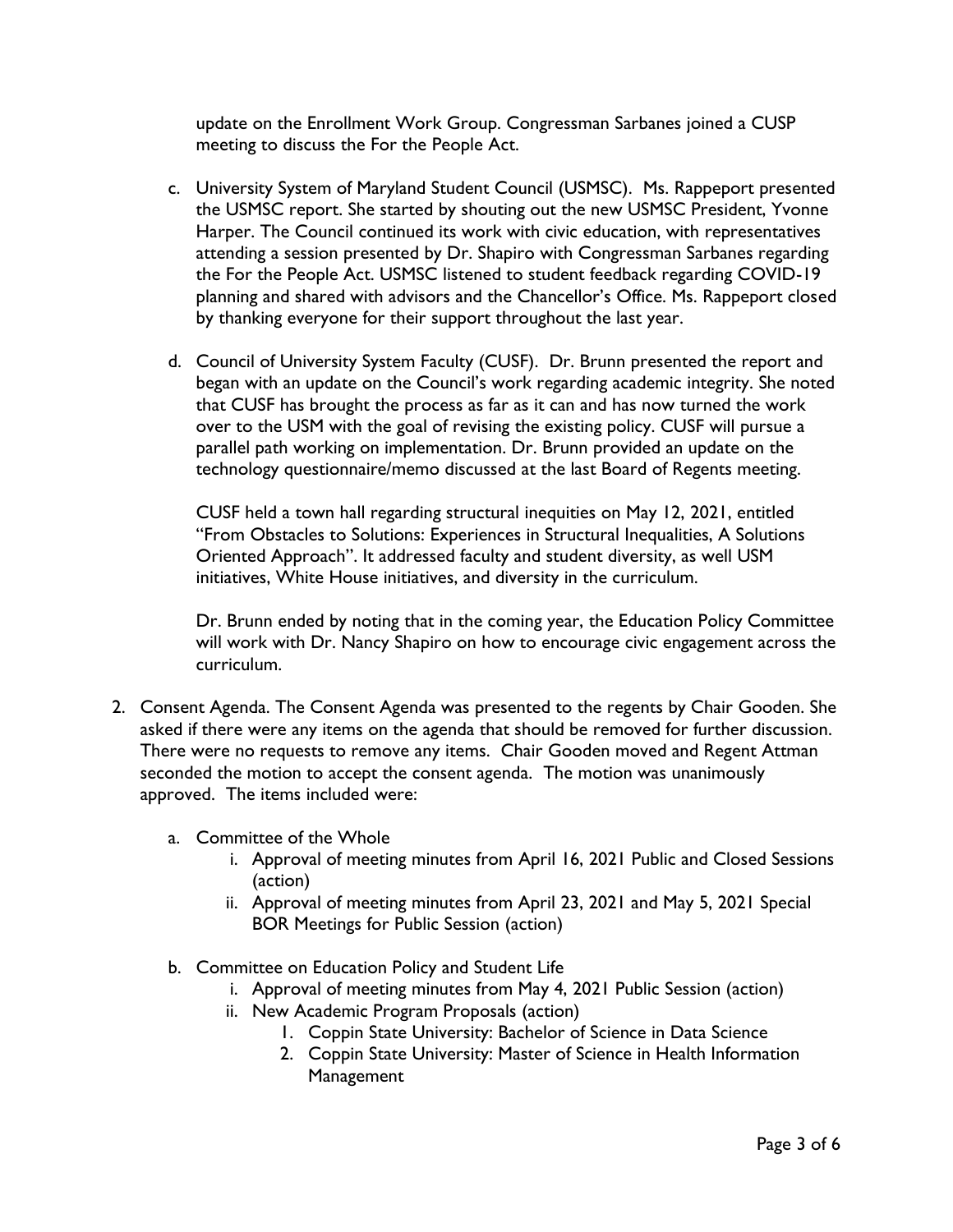update on the Enrollment Work Group. Congressman Sarbanes joined a CUSP meeting to discuss the For the People Act.

- c. University System of Maryland Student Council (USMSC). Ms. Rappeport presented the USMSC report. She started by shouting out the new USMSC President, Yvonne Harper. The Council continued its work with civic education, with representatives attending a session presented by Dr. Shapiro with Congressman Sarbanes regarding the For the People Act. USMSC listened to student feedback regarding COVID-19 planning and shared with advisors and the Chancellor's Office. Ms. Rappeport closed by thanking everyone for their support throughout the last year.
- d. Council of University System Faculty (CUSF). Dr. Brunn presented the report and began with an update on the Council's work regarding academic integrity. She noted that CUSF has brought the process as far as it can and has now turned the work over to the USM with the goal of revising the existing policy. CUSF will pursue a parallel path working on implementation. Dr. Brunn provided an update on the technology questionnaire/memo discussed at the last Board of Regents meeting.

CUSF held a town hall regarding structural inequities on May 12, 2021, entitled "From Obstacles to Solutions: Experiences in Structural Inequalities, A Solutions Oriented Approach". It addressed faculty and student diversity, as well USM initiatives, White House initiatives, and diversity in the curriculum.

Dr. Brunn ended by noting that in the coming year, the Education Policy Committee will work with Dr. Nancy Shapiro on how to encourage civic engagement across the curriculum.

- 2. Consent Agenda. The Consent Agenda was presented to the regents by Chair Gooden. She asked if there were any items on the agenda that should be removed for further discussion. There were no requests to remove any items. Chair Gooden moved and Regent Attman seconded the motion to accept the consent agenda. The motion was unanimously approved. The items included were:
	- a. Committee of the Whole
		- i. Approval of meeting minutes from April 16, 2021 Public and Closed Sessions (action)
		- ii. Approval of meeting minutes from April 23, 2021 and May 5, 2021 Special BOR Meetings for Public Session (action)
	- b. Committee on Education Policy and Student Life
		- i. Approval of meeting minutes from May 4, 2021 Public Session (action)
		- ii. New Academic Program Proposals (action)
			- 1. Coppin State University: Bachelor of Science in Data Science
			- 2. Coppin State University: Master of Science in Health Information **Management**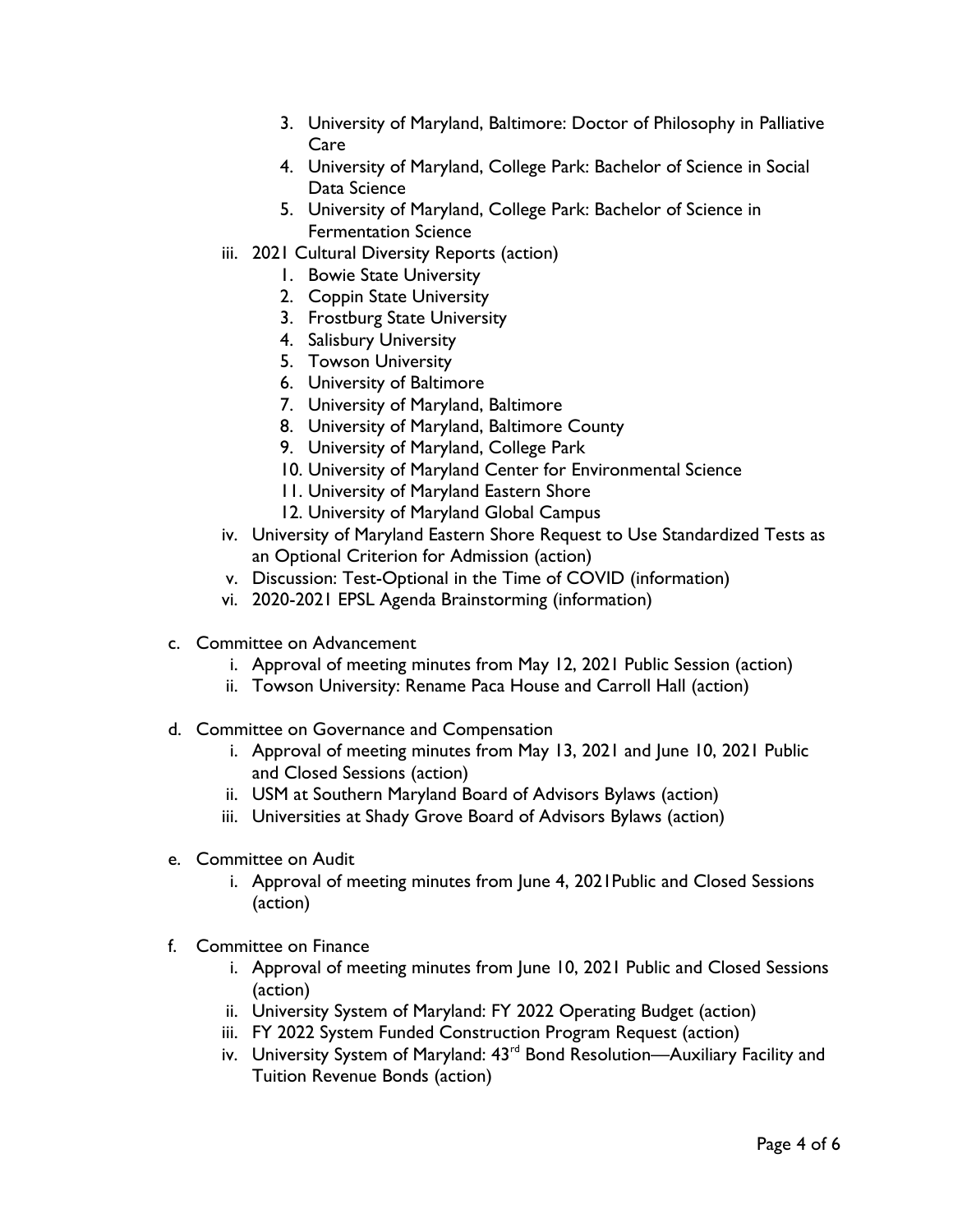- 3. University of Maryland, Baltimore: Doctor of Philosophy in Palliative Care
- 4. University of Maryland, College Park: Bachelor of Science in Social Data Science
- 5. University of Maryland, College Park: Bachelor of Science in Fermentation Science
- iii. 2021 Cultural Diversity Reports (action)
	- 1. Bowie State University
	- 2. Coppin State University
	- 3. Frostburg State University
	- 4. Salisbury University
	- 5. Towson University
	- 6. University of Baltimore
	- 7. University of Maryland, Baltimore
	- 8. University of Maryland, Baltimore County
	- 9. University of Maryland, College Park
	- 10. University of Maryland Center for Environmental Science
	- 11. University of Maryland Eastern Shore
	- 12. University of Maryland Global Campus
- iv. University of Maryland Eastern Shore Request to Use Standardized Tests as an Optional Criterion for Admission (action)
- v. Discussion: Test-Optional in the Time of COVID (information)
- vi. 2020-2021 EPSL Agenda Brainstorming (information)
- c. Committee on Advancement
	- i. Approval of meeting minutes from May 12, 2021 Public Session (action)
	- ii. Towson University: Rename Paca House and Carroll Hall (action)
- d. Committee on Governance and Compensation
	- i. Approval of meeting minutes from May 13, 2021 and June 10, 2021 Public and Closed Sessions (action)
	- ii. USM at Southern Maryland Board of Advisors Bylaws (action)
	- iii. Universities at Shady Grove Board of Advisors Bylaws (action)
- e. Committee on Audit
	- i. Approval of meeting minutes from June 4, 2021Public and Closed Sessions (action)
- f. Committee on Finance
	- i. Approval of meeting minutes from June 10, 2021 Public and Closed Sessions (action)
	- ii. University System of Maryland: FY 2022 Operating Budget (action)
	- iii. FY 2022 System Funded Construction Program Request (action)
	- iv. University System of Maryland: 43<sup>rd</sup> Bond Resolution—Auxiliary Facility and Tuition Revenue Bonds (action)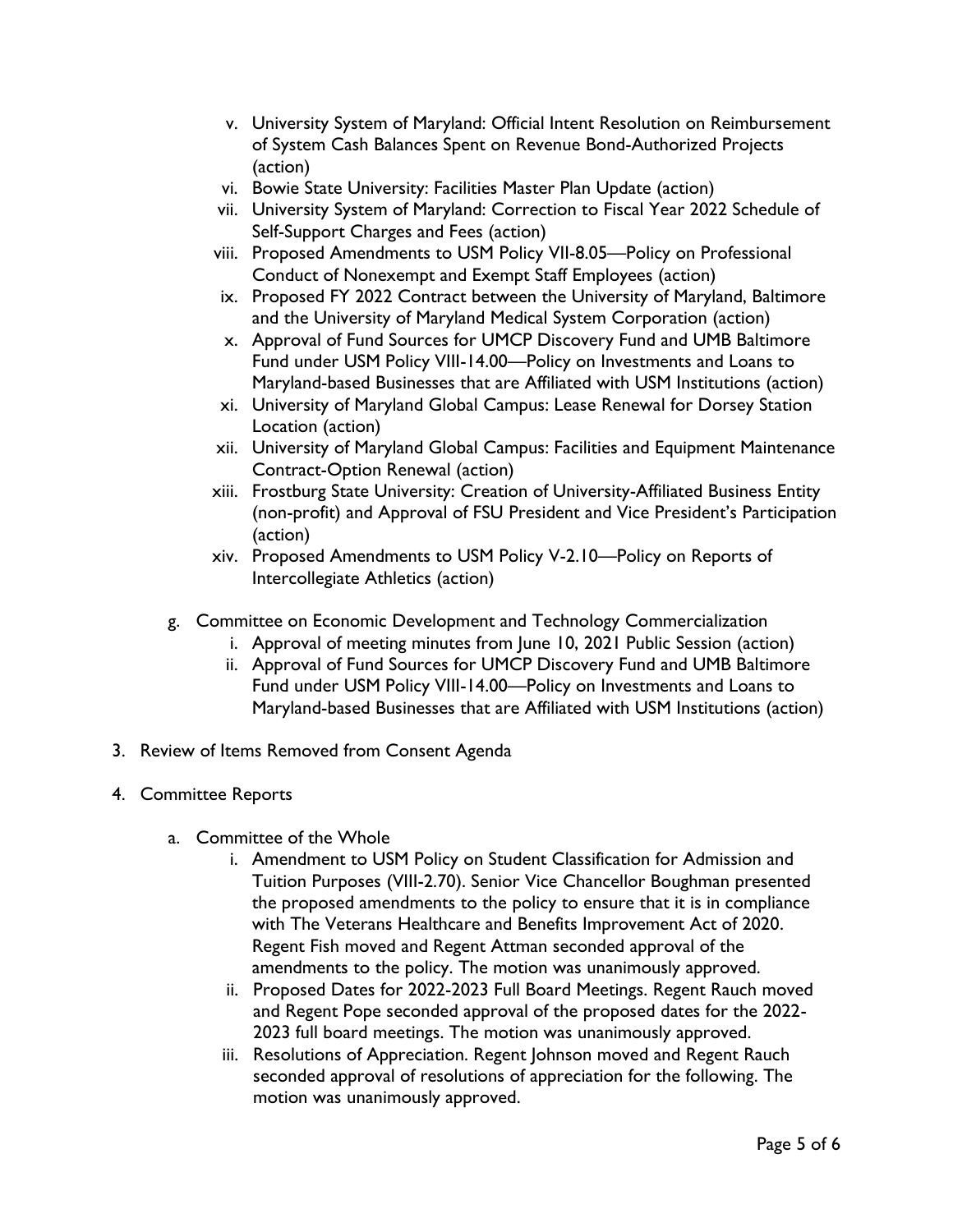- v. University System of Maryland: Official Intent Resolution on Reimbursement of System Cash Balances Spent on Revenue Bond-Authorized Projects (action)
- vi. Bowie State University: Facilities Master Plan Update (action)
- vii. University System of Maryland: Correction to Fiscal Year 2022 Schedule of Self-Support Charges and Fees (action)
- viii. Proposed Amendments to USM Policy VII-8.05—Policy on Professional Conduct of Nonexempt and Exempt Staff Employees (action)
- ix. Proposed FY 2022 Contract between the University of Maryland, Baltimore and the University of Maryland Medical System Corporation (action)
- x. Approval of Fund Sources for UMCP Discovery Fund and UMB Baltimore Fund under USM Policy VIII-14.00—Policy on Investments and Loans to Maryland-based Businesses that are Affiliated with USM Institutions (action)
- xi. University of Maryland Global Campus: Lease Renewal for Dorsey Station Location (action)
- xii. University of Maryland Global Campus: Facilities and Equipment Maintenance Contract-Option Renewal (action)
- xiii. Frostburg State University: Creation of University-Affiliated Business Entity (non-profit) and Approval of FSU President and Vice President's Participation (action)
- xiv. Proposed Amendments to USM Policy V-2.10—Policy on Reports of Intercollegiate Athletics (action)
- g. Committee on Economic Development and Technology Commercialization
	- i. Approval of meeting minutes from June 10, 2021 Public Session (action)
	- ii. Approval of Fund Sources for UMCP Discovery Fund and UMB Baltimore Fund under USM Policy VIII-14.00—Policy on Investments and Loans to Maryland-based Businesses that are Affiliated with USM Institutions (action)
- 3. Review of Items Removed from Consent Agenda
- 4. Committee Reports
	- a. Committee of the Whole
		- i. Amendment to USM Policy on Student Classification for Admission and Tuition Purposes (VIII-2.70). Senior Vice Chancellor Boughman presented the proposed amendments to the policy to ensure that it is in compliance with The Veterans Healthcare and Benefits Improvement Act of 2020. Regent Fish moved and Regent Attman seconded approval of the amendments to the policy. The motion was unanimously approved.
		- ii. Proposed Dates for 2022-2023 Full Board Meetings. Regent Rauch moved and Regent Pope seconded approval of the proposed dates for the 2022- 2023 full board meetings. The motion was unanimously approved.
		- iii. Resolutions of Appreciation. Regent Johnson moved and Regent Rauch seconded approval of resolutions of appreciation for the following. The motion was unanimously approved.